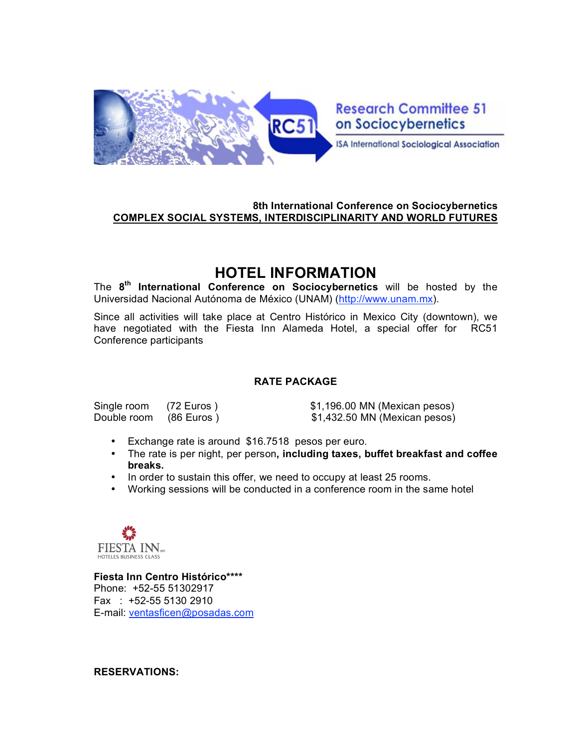

**Research Committee 51** on Sociocybernetics

**ISA International Sociological Association** 

### **8th International Conference on Sociocybernetics COMPLEX SOCIAL SYSTEMS, INTERDISCIPLINARITY AND WORLD FUTURES**

# **HOTEL INFORMATION**

The **8th International Conference on Sociocybernetics** will be hosted by the Universidad Nacional Autónoma de México (UNAM) (http://www.unam.mx).

Since all activities will take place at Centro Histórico in Mexico City (downtown), we have negotiated with the Fiesta Inn Alameda Hotel, a special offer for RC51 Conference participants

#### **RATE PACKAGE**

Single room (72 Euros )  $$1,196.00$  MN (Mexican pesos) Double room (86 Euros )  $$1,432.50$  MN (Mexican pesos)

- Exchange rate is around \$16.7518 pesos per euro.
- The rate is per night, per person**, including taxes, buffet breakfast and coffee breaks.**
- In order to sustain this offer, we need to occupy at least 25 rooms.
- Working sessions will be conducted in a conference room in the same hotel



**Fiesta Inn Centro Histórico\*\*\*\*** Phone: +52-55 51302917 Fax : +52-55 5130 2910 E-mail: ventasficen@posadas.com

#### **RESERVATIONS:**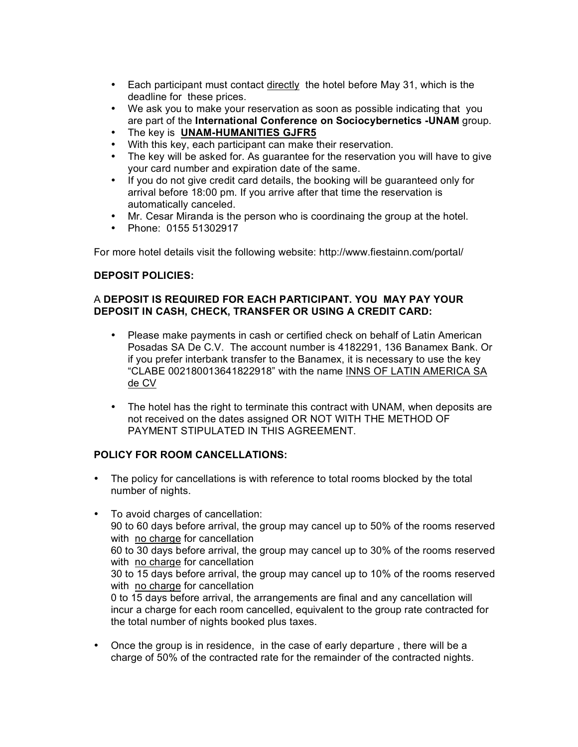- Each participant must contact directly the hotel before May 31, which is the deadline for these prices.
- We ask you to make your reservation as soon as possible indicating that you are part of the **International Conference on Sociocybernetics -UNAM** group.
- The key is **UNAM-HUMANITIES GJFR5**
- With this key, each participant can make their reservation.
- The key will be asked for. As guarantee for the reservation you will have to give your card number and expiration date of the same.
- If you do not give credit card details, the booking will be guaranteed only for arrival before 18:00 pm. If you arrive after that time the reservation is automatically canceled.
- Mr. Cesar Miranda is the person who is coordinaing the group at the hotel.
- Phone: 0155 51302917

For more hotel details visit the following website: http://www.fiestainn.com/portal/

#### **DEPOSIT POLICIES:**

#### A **DEPOSIT IS REQUIRED FOR EACH PARTICIPANT. YOU MAY PAY YOUR DEPOSIT IN CASH, CHECK, TRANSFER OR USING A CREDIT CARD:**

- Please make payments in cash or certified check on behalf of Latin American Posadas SA De C.V. The account number is 4182291, 136 Banamex Bank. Or if you prefer interbank transfer to the Banamex, it is necessary to use the key "CLABE 002180013641822918" with the name INNS OF LATIN AMERICA SA de CV
- The hotel has the right to terminate this contract with UNAM, when deposits are not received on the dates assigned OR NOT WITH THE METHOD OF PAYMENT STIPULATED IN THIS AGREEMENT.

#### **POLICY FOR ROOM CANCELLATIONS:**

- The policy for cancellations is with reference to total rooms blocked by the total number of nights.
- To avoid charges of cancellation: 90 to 60 days before arrival, the group may cancel up to 50% of the rooms reserved with no charge for cancellation 60 to 30 days before arrival, the group may cancel up to 30% of the rooms reserved with no charge for cancellation 30 to 15 days before arrival, the group may cancel up to 10% of the rooms reserved with no charge for cancellation 0 to 15 days before arrival, the arrangements are final and any cancellation will incur a charge for each room cancelled, equivalent to the group rate contracted for the total number of nights booked plus taxes.
- Once the group is in residence, in the case of early departure , there will be a charge of 50% of the contracted rate for the remainder of the contracted nights.